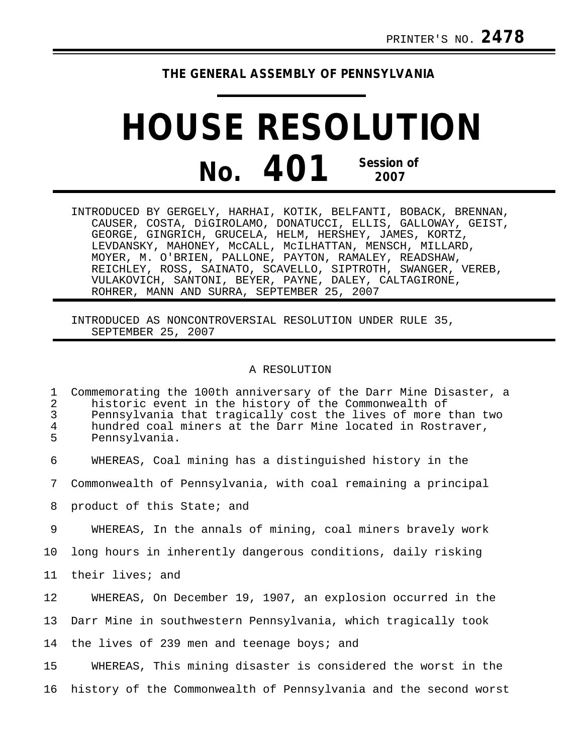## **THE GENERAL ASSEMBLY OF PENNSYLVANIA**

## **HOUSE RESOLUTION No. 401 Session of 2007**

INTRODUCED BY GERGELY, HARHAI, KOTIK, BELFANTI, BOBACK, BRENNAN, CAUSER, COSTA, DiGIROLAMO, DONATUCCI, ELLIS, GALLOWAY, GEIST, GEORGE, GINGRICH, GRUCELA, HELM, HERSHEY, JAMES, KORTZ, LEVDANSKY, MAHONEY, McCALL, McILHATTAN, MENSCH, MILLARD, MOYER, M. O'BRIEN, PALLONE, PAYTON, RAMALEY, READSHAW, REICHLEY, ROSS, SAINATO, SCAVELLO, SIPTROTH, SWANGER, VEREB, VULAKOVICH, SANTONI, BEYER, PAYNE, DALEY, CALTAGIRONE, ROHRER, MANN AND SURRA, SEPTEMBER 25, 2007

INTRODUCED AS NONCONTROVERSIAL RESOLUTION UNDER RULE 35, SEPTEMBER 25, 2007

## A RESOLUTION

| 1<br>$\overline{2}$<br>$\mathsf{3}$<br>$\overline{4}$<br>5 | Commemorating the 100th anniversary of the Darr Mine Disaster, a<br>historic event in the history of the Commonwealth of<br>Pennsylvania that tragically cost the lives of more than two<br>hundred coal miners at the Darr Mine located in Rostraver,<br>Pennsylvania. |
|------------------------------------------------------------|-------------------------------------------------------------------------------------------------------------------------------------------------------------------------------------------------------------------------------------------------------------------------|
| 6                                                          | WHEREAS, Coal mining has a distinguished history in the                                                                                                                                                                                                                 |
| 7                                                          | Commonwealth of Pennsylvania, with coal remaining a principal                                                                                                                                                                                                           |
| 8                                                          | product of this State; and                                                                                                                                                                                                                                              |
| 9                                                          | WHEREAS, In the annals of mining, coal miners bravely work                                                                                                                                                                                                              |
| 10 <sub>1</sub>                                            | long hours in inherently dangerous conditions, daily risking                                                                                                                                                                                                            |
| 11                                                         | their lives; and                                                                                                                                                                                                                                                        |
| 12                                                         | WHEREAS, On December 19, 1907, an explosion occurred in the                                                                                                                                                                                                             |
| 13                                                         | Darr Mine in southwestern Pennsylvania, which tragically took                                                                                                                                                                                                           |
| 14                                                         | the lives of 239 men and teenage boys; and                                                                                                                                                                                                                              |
| 15                                                         | WHEREAS, This mining disaster is considered the worst in the                                                                                                                                                                                                            |
| 16                                                         | history of the Commonwealth of Pennsylvania and the second worst                                                                                                                                                                                                        |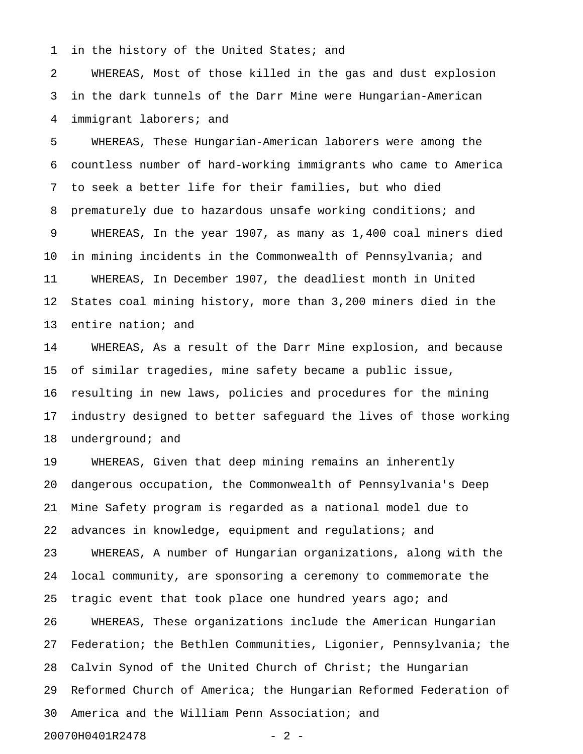1 in the history of the United States; and

2 WHEREAS, Most of those killed in the gas and dust explosion 3 in the dark tunnels of the Darr Mine were Hungarian-American 4 immigrant laborers; and

5 WHEREAS, These Hungarian-American laborers were among the 6 countless number of hard-working immigrants who came to America 7 to seek a better life for their families, but who died 8 prematurely due to hazardous unsafe working conditions; and 9 WHEREAS, In the year 1907, as many as 1,400 coal miners died 10 in mining incidents in the Commonwealth of Pennsylvania; and 11 WHEREAS, In December 1907, the deadliest month in United 12 States coal mining history, more than 3,200 miners died in the 13 entire nation; and

14 WHEREAS, As a result of the Darr Mine explosion, and because 15 of similar tragedies, mine safety became a public issue, 16 resulting in new laws, policies and procedures for the mining 17 industry designed to better safeguard the lives of those working 18 underground; and

19 WHEREAS, Given that deep mining remains an inherently 20 dangerous occupation, the Commonwealth of Pennsylvania's Deep 21 Mine Safety program is regarded as a national model due to 22 advances in knowledge, equipment and regulations; and 23 WHEREAS, A number of Hungarian organizations, along with the 24 local community, are sponsoring a ceremony to commemorate the 25 tragic event that took place one hundred years ago; and 26 WHEREAS, These organizations include the American Hungarian 27 Federation; the Bethlen Communities, Ligonier, Pennsylvania; the 28 Calvin Synod of the United Church of Christ; the Hungarian 29 Reformed Church of America; the Hungarian Reformed Federation of 30 America and the William Penn Association; and 20070H0401R2478 - 2 -